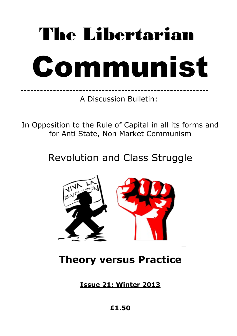# The Libertarian Communist

---------------------------------------------------------- A Discussion Bulletin:

In Opposition to the Rule of Capital in all its forms and for Anti State, Non Market Communism

Revolution and Class Struggle



## **Theory versus Practice**

**Issue 21: Winter 2013**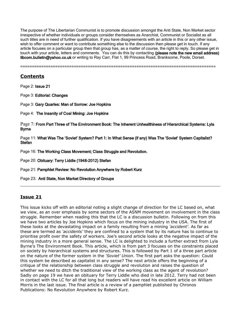The purpose of The Libertarian Communist is to promote discussion amongst the Anti State, Non Market sector irrespective of whether individuals or groups consider themselves as Anarchist, Communist or Socialist as all such titles are in need of further qualification. If you have disagreements with an article in this or any other issue, wish to offer comment or want to contribute something else to the discussion then please get in touch. If any article focuses on a particular group then that group has, as a matter of course, the right to reply. So please get in touch with your article, letters and comments. You can do this by contacting (please note the new email address) libcom.bulletin@yahoo.co.uk or writing to Ray Carr, Flat 1, 99 Princess Road, Branksome, Poole, Dorset.

====================================================================================

#### **Contents**

Page 2: Issue 21

Page 3: Editorial: Changes

Page 3: Gary Quarles: Man of Sorrow: Joe Hopkins

Page 4: The Insanity of Coal Mining: Joe Hopkins

Page 7: From Part Three of The Environment Book: The Inherent Unhealthiness of Hierarchical Systems: Lyla Byrne

Page 11: What Was The 'Soviet' System? Part 1: In What Sense (if any) Was The 'Soviet' System Capitalist? **Stefan** 

Page 16: The Working Class Movement; Class Struggle and Revolution.

Page 20: Obituary: Terry Liddle (1948-2012) Stefan

Page 21: Pamphlet Review: No Revolution Anywhere by Robert Kurz

Page 23: Anti State, Non Market Directory of Groups

#### **Issue 21**

This issue kicks off with an editorial noting a slight change of direction for the LC based on, what we view, as an over emphasis by some sectors of the ASNM movement on involvement in the class struggle. Remember when reading this that the LC is a discussion bulletin. Following on from this we have two articles by Joe Hopkins which focus on the mining industry in the USA. The first of these looks at the devastating impact on a family resulting from a mining *'accident'*. As far as these are termed as *'accidents'* they are confined to a system that by its nature has to continue to prioritise profit over the safety of workers. Joe's second article looks at the negative impact of the mining industry in a more general sense. The LC is delighted to include a further extract from Lyla Byrne's The Environment Book. This article, which is from part 3 focuses on the constraints placed on society by hierarchical systems and structures. This is followed by Part 1 of a three part article on the nature of the former system in the *'Soviet' Union*. The first part asks the question: Could this system be described as capitalist in any sense? The next article offers the beginning of a critique of the relationship between class struggle and revolution and raises the question of whether we need to ditch the traditional view of the working class as the agent of revolution? Sadly on page 19 we have an obituary for Terry Liddle who died in late 2012. Terry had not been in contact with the LC for all that long but readers will have read his excellent article on William Morris in the last issue. The final article is a review of a pamphlet published by Chronos Publications: No Revolution Anywhere by Robert Kurz.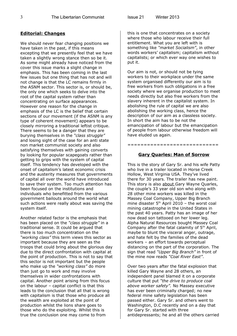#### **Editorial: Changes**

We should never fear changing positions we have taken in the past, if this means excepting that we presently feel that we have taken a slightly wrong stance then so be it. As some might already have noticed from the cover this issue marks a slight change in emphasis. This has been coming in the last few issues but one thing that has not and will not change is that the LC remains firmly in the ASNM sector. This sector is, or should be, the only one which seeks to delve into the root of the capital system rather than concentrating on surface appearances. However one reason for the change in emphasis of the LC is the belief that certain sections of our movement (if the ASNM is any type of coherent movement) appears to be closely mirroring a traditional leftist critique. There seems to be a danger that they are burying themselves in the *"class struggle"* and losing sight of the case for an anti state non market communist society and also satisfying themselves with gaining converts by looking for popular scapegoats rather than getting to grips with the system of capital itself. This tendency has developed with the onset of capitalism's latest economic crisis and the austerity measures that governments of capital all over the world have introduced to save their system. Too much attention has been focused on the institutions and individuals who benefitted from the various government bailouts around the world what such actions were really about was saving the system itself.

Another related factor is the emphasis that has been placed on the *"class struggle"* in a traditional sense. It could be argued that there is too much concentration on the *"working class"* this term views this sector as important because they are seen as the troops that could bring about the glorious day due to the direct confrontation with capital at the point of production. This is not to say that this sector is not important but the people who make up the *"working class"* do more than just go to work and may involve themselves in wider confrontations with capital. Another point arising from this focus on the labour – capital conflict is that this leads to the conclusion that all that is wrong with capitalism is that those who produce all the wealth are exploited at the point of production whilst the lions share goes to those who do the exploiting. Whilst this is true the conclusion one may come to from

this is one that concentrates on a society where those who labour receive their full entitlement. What you are left with is something like *"market Socialism"*, in other words workers' capitalism; capitalism without capitalists; or which ever way one wishes to put it.

Our aim is not, or should not be tying workers to their workplace under the same system organised differently our aim is to free workers from such obligations in a free society where we organise production to meet needs directly but also free workers from the slavery inherent in the capitalist system. In abolishing the rule of capital we are also abolishing the working class, hence the description of our aim as a classless society. In short the aim has to be not the emancipation of labour but the emancipation of people from labour otherwise freedom will have eluded us again.

#### **Gary Quarles: Man of Sorrow**

============================

This is the story of Gary Sr. and his wife Patty who live in a trailer located in Horse Creek Hollow, West Virginia USA. They've lived there for 30 years. The trailer has new paint. This story is also about Gary Wayne Quarles, the couple's 33 year old son who along with 28 other mine workers was killed in the Massey Coal Company, Upper Big Branch mine disaster  $5<sup>th</sup>$  April 2010 – the worst coal mining catastrophe in the United States in the past 40 years. Patty has an image of her now dead son tattooed on her lower leg. Alpha Natural Resources bought Massey Coal Company after the fatal calamity of  $5<sup>th</sup>$  April, maybe to blunt the visceral anger, outrage, and hate felt by the families of the dead workers – an effort towards perceptual distancing on the part of the corporation. The sign that read *"Upper Big Branch"* in front of the mine now reads *"Coal River East"*.

Over two years after the fatal explosion that killed Gary Wayne and 28 others, an independent panel blamed it on a corporate culture that put *"the drive to produce coal above worker safety".* No Massey executive has ever been criminally charged; no new federal mine safety legislation has been passed either. Gary Sr. and others went to Washington, D.C recently and on a day that for Gary Sr. started with three antidepressants; he and all the others carried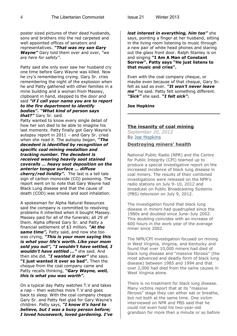poster sized pictures of their dead husbands, sons and brothers into the red carpeted and well appointed offices of senators and representatives. *"That was my son Gary Wayne"* Gary told them over and over, *"we are here for safety"*.

Patty said she only ever saw her husband cry one time before Gary Wayne was killed. Now he cry's remembering crying. Gary Sr. cries remembering the night of the explosion when he and Patty gathered with other families in a mine building and a woman from Massey, clipboard in hand, stepped to the door and said *"if I call your name you are to report to the fire department to identify bodies". "What kind of person says that?"* Gary Sr. said.

Patty wanted to know every single detail of how her son died to be able to imagine his last moments. Patty finally got Gary Wayne's autopsy report in 2011 – and Gary Sr. cried when she read it. The autopsy began, *"The decedent is identified by recognition of specific coal mining medallion and tracking number. The decedent is received wearing heavily soot stained coveralls … heavy soot deposition on the anterior tongue surface … diffuse cherry/red lividity".* The last is a tell tale sign of carbon monoxide (CO) poisoning. The report went on to note that Gary Wayne had Black Lung disease and that the cause of death (COD) was smoke and soot inhalation.

A spokesman for Alpha Natural Resources said the company is committed to resolving problems it inherited when it bought Massey. Massey paid for all of the funerals; all 29 of them. Alpha offered Gary Sr. and Patty a financial settlement of \$3 million*. "At the same time",* Patty said, and now she too was crying, *"This is your mom saying this is what your life's worth. Like your mom sold you out", "I wouldn't have settled, I wouldn't have settled …"* she said. And then she did. *"I wanted it over"* she says. **"I just wanted it over so bad".** Then the cheque from the coal company came and Patty recalls thinking, *"Gary Wayne, well, this is what you was worth".*

On a typical day Patty watches T.V and takes a nap – then watches more T.V and goes back to sleep. With the coal company cheque Gary Sr. and Patty feel glad for Gary Wayne's children. Patty says, *"I know it's hard to believe, but I was a busy person before; I loved housework, loved gardening. I've* *lost interest in everything, him too"* she says, pointing a finger at her husband, sitting in the living room listening to music through a new pair of white head phones and staring out the glass front door. Ralph Stanley is on and singing **"I Am A Man of Constant Sorrow". Patty says "He just listens to that music and cries".**

Even with the coal company cheque, or maybe even because of that cheque, Gary Sr. felt as sad as ever. *"It won't never leave me"* he said. Patty felt something different. *"Sick"* she said. *"I felt sick".* 

#### **Joe Hopkins**

#### **The insanity of coal mining**

*September 20, 2012* By [Joe Hopkins](http://wspus.org/author/joe-hopkins/)

#### **Destroying miners' health**

National Public Radio (NPR) and the Centre for Public Integrity (CPI) teamed up to produce a special investigative report on the increased incidence of black lung disease in coal miners. The results of their combined investigations were released on the NPR's radio stations on July 9–10, 2012 and broadcast on Public Broadcasting Systems (PBS) television on July 9, 2012.

The investigation found that black lung disease in miners had quadrupled since the 1980s and doubled since June–July 2002. This doubling coincides with an increase of 600 hours in the work year of the average miner since 2002.

The NPR/CPI investigation focused on mining in West Virginia, Virginia, and Kentucky and found that over 10,000 miners had died of black lung disease and "massive fibrosis" (the most advanced and deadly form of black lung disease) between 1985 and 1994 and that over 2,000 had died from the same causes in West Virginia alone.

There is no treatment for black lung disease. Many victims report that at its "massive fibrosis" stage they can either eat or breathe, but not both at the same time. One victim interviewed on NPR and PBS said that he could not even hold his two-year-old grandson for more than a minute or so before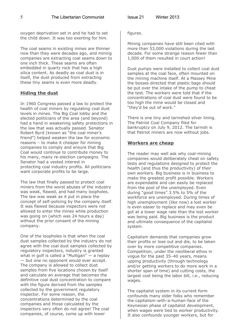oxygen deprivation set in and he had to set the child down. It was too exerting for him.

The coal seams in existing mines are thinner now than they were decades ago, and mining companies are extracting coal seams down to one inch thick. These seams are often embedded in quartz rock that has a high silica content. As deadly as coal dust is in itself, the dust produced from extracting these tiny seams is even more deadly.

#### **Hiding the dust**

In 1960 Congress passed a law to protect the health of coal miners by regulating coal dust levels in mines. The Big Coal lobby and the elected politicians of the area (and beyond) had a hand in weakening safety protections in the law that was actually passed. Senator Robert Byrd (known as "the coal miner's friend") helped weaken the law for economic reasons – to make it cheaper for mining companies to comply and ensure that Big Coal would continue to contribute money to his many, many re-election campaigns. The Senator had a vested interest in protecting coal industry profits. All politicians want corporate profits to be large.

The law that finally passed to protect coal miners from the worst abuses of the industry was weak, flawed, and had many loopholes. The law was weak as it put in place the concept of self-policing by the company itself. It was flawed because inspectors were not allowed to enter the mines while production was going on (which was 24 hours a day) without the prior consent of the mining company.

One of the loopholes is that when the coal dust samples collected by the industry do not agree with the coal dust samples collected by regulatory inspectors, industry is granted what in golf is called a "Mulligan"  $-$  a replay — but one no opponent would ever accept. The company is allowed to collect dust samples from five locations chosen by itself and calculate an average that becomes the definitive coal dust concentration to compare with the figure derived from the samples collected by the government regulatory inspector. For some reason, the concentrations determined by the coal companies and those calculated by the inspectors very often do not agree! The coal companies, of course, come up with lower

figures.

Mining companies have still been cited with more than 53,000 violations during the last decade. For some strange reason fewer than 1,000 of them resulted in court action!

Dust pumps were installed to collect coal dust samples at the coal face, often mounted on the mining machine itself. At a Massey Mine the bosses directed that plastic bags should be put over the intake of the pump to cheat the test. The workers were told that if the concentrations of coal dust were found to be too high the mine would be closed and "they'd be out of work."

There is one tiny and tarnished silver lining. The Patriot Coal Company filed for bankruptcy on July 9, 2012. The tarnish is that Patriot miners are now without jobs.

#### **Workers are cheap**

The reader may well ask why coal-mining companies would deliberately cheat on safety tests and regulations designed to protect the health (and thus the productivity) of their own workers. Big business is in business to make the greatest profit possible. Workers are expendable and can easily be replaced from the pool of the unemployed. Even during "good times" 3.5% to 5% of the workforce are unemployed. During times of high unemployment (like now) a lost worker is even easier to replace and may even be got at a lower wage rate than the lost worker was being paid. Big business is the product and ultimate consequence of the capitalist system.

Capitalism demands that companies grow their profits or lose out and die, to be taken over by more competitive companies. Competition, under the neoliberal ethos in vogue for the past 35–40 years, means upping productivity (through technology and/or getting workers to do more work in a shorter span of time) and cutting costs, the largest cost being the labor bill, i.e., reducing wages.

The capitalist system in its current form confounds many older folks who remember the capitalism-with-a-human-face of the Keynesian phase of capitalist development, when wages were tied to worker productivity. It also confounds younger workers, but for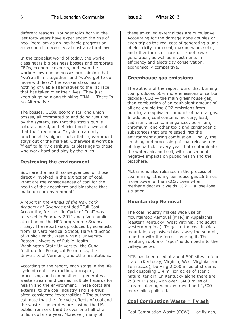6 The Libertarian Communist Issue 21 Winter 2013

different reasons. Younger folks born in the last forty years have experienced the rise of neo-liberalism as an inevitable progression, an economic necessity, almost a natural law.

In the capitalist world of today, the worker class hears big business bosses and corporate CEOs, economic experts, and even the workers' own union bosses proclaiming that "we're all in it together" and "we've got to do more with less." The worker class hears nothing of viable alternatives to the rat race that has taken over their lives. They just keep plugging along thinking TINA — There Is No Alternative.

The bosses, CEOs, economists, and union bosses, all committed to and doing just fine by the system, say that the status quo is natural, moral, and efficient on its own and that the "free market" system can only function at its highest potential if government stays out of the market. Otherwise it won't be "free" to fairly distribute its blessings to those who work hard and play by the rules.

#### **Destroying the environment**

Such are the health consequences for those directly involved in the extraction of coal. What are the consequences of coal for the health of the geosphere and biosphere that make up our environment?

A report in the *Annals of the New York Academy of Sciences* entitled "Full Cost Accounting for the Life Cycle of Coal" was released in February 2011 and given public attention on the NPR programme *Science Friday*. The report was produced by scientists from Harvard Medical School, Harvard School of Public Health, West Virginia University, Boston University of Public Health, Washington State University, the Gund Institute for Ecological Economics, the University of Vermont, and other institutions.

According to the report, each stage in the life cycle of coal — extraction, transport, processing, and combustion — generates a waste stream and carries multiple hazards for health and the environment. These costs are external to the coal industry and are thus often considered "externalities." The authors estimate that the life cycle effects of coal and the waste it generates are costing the US public from one third to over one half of a trillion dollars a year. Moreover, many of

these so-called externalities are cumulative. Accounting for the damage done doubles or even triples the real cost of generating a unit of electricity from coal, making wind, solar, and other forms of non-fossil-fuel power generation, as well as investments in efficiency and electricity conservation, economically competitive.

#### **Greenhouse gas emissions**

The authors of the report found that burning coal produces 50% more emissions of carbon dioxide  $(CO2 -$  the main greenhouse gas) than combustion of an equivalent amount of oil and double the CO2 emissions from burning an equivalent amount of natural gas. In addition, coal contains mercury, lead, cadmium, arsenic, manganese, beryllium, chromium, and other toxic and carcinogenic substances that are released into the environment during combustion. Finally, the crushing and processing of coal release tons of tiny particles every year that contaminate the water, air, and soil, with consequent negative impacts on public health and the biosphere.

Methane is also released in the process of coal mining. It is a greenhouse gas 25 times more powerful than CO2. Even when methane decays it yields CO2 — a lose-lose situation.

#### **Mountaintop Removal**

The coal industry makes wide use of Mountaintop Removal (MTR) in Appalachia (eastern Kentucky, West Virginia, and south western Virginia). To get to the coal inside a mountain, explosives blast away the summit, together with the forest covering it. The resulting rubble or "spoil" is dumped into the valleys below.

MTR has been used at about 500 sites in four states (Kentucky, Virginia, West Virginia, and Tennessee), burying 2,000 miles of streams and despoiling 1.4 million acres of scenic natural terrain. In Kentucky alone there are 293 MTR sites, with over 1,400 miles of streams damaged or destroyed and 2,500 more miles polluted.

#### **Coal Combustion Waste = fly ash**

Coal Combustion Waste (CCW) — or fly ash,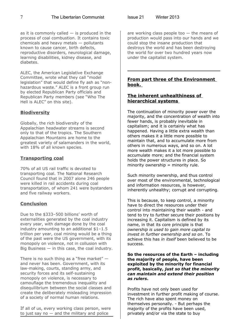as it is commonly called  $-$  is produced in the process of coal combustion. It contains toxic chemicals and heavy metals — pollutants known to cause cancer, birth defects, reproductive disorders, neurological damage, learning disabilities, kidney disease, and diabetes.

ALEC, the American Legislative Exchange Committee, wrote what they call "model legislation" that would define fly ash as "nonhazardous waste." ALEC is a front group run by elected Republican Party officials and Republican Party members (see "Who The Hell is ALEC" on this site).

#### **Biodiversity**

Globally, the rich biodiversity of the Appalachian headwater streams is second only to that of the tropics. The Southern Appalachian Mountains are home to the greatest variety of salamanders in the world, with 18% of all known species.

#### **Transporting coal**

70% of all US rail traffic is devoted to transporting coal. The National Research Council found that in 2007 alone 246 people were killed in rail accidents during coal transportation, of whom 241 were bystanders and five railway workers.

#### **Conclusion**

Due to the \$333–500 billions' worth of externalities generated by the coal industry every year, with damage done by the coal industry amounting to an additional \$1–1.5 trillion per year, coal mining would be a thing of the past were the US government, with its monopoly on violence, not in collusion with Big Business  $-$  in this case, the coal industry.

There is no such thing as a "free market" and never has been. Government, with its law-making, courts, standing army, and security forces and its self-sustaining monopoly on violence, is necessary to camouflage the tremendous inequality and disequilibrium between the social classes and create the deliberately misleading impression of a society of normal human relations.

If all of us, every working class person, were to just say no  $-$  and the military and police

are working class people too  $-$  the means of production would pass into our hands and we could stop the insane production that destroys the world and has been destroying the world for over two hundred years now under the capitalist system.

#### **From part three of the Environment book.**

#### **The inherent unhealthiness of hierarchical systems**

The continuation of minority power over the majority, and the concentration of wealth into fewer hands, is probably inevitable in capitalism; and it is certainly what has happened. Having a little extra wealth than others makes it a little more possible to maintain that, and to accumulate more from others in numerous ways, and so on. A lot more wealth makes it a lot more possible to accumulate more; and the financial system holds the power structures in place. So minority ownership  $=$  minority rule.

Such minority ownership, and thus control over most of the environmental, technological and information resources, is however, inherently unhealthy; corrupt and corrupting.

This is because, to keep control, a minority have to direct the resources under their control into maintaining their wealth - and tend to try to further secure their positions by increasing it. Capitalism is defined by its name, in that its core principle is that *ownership is used to gain more capital to invest in further ownership and so on*. To achieve this has *in itself* been believed to be success.

#### **So the resources of the Earth – including the majority of people, have been exploited by the minority for financial profit, basically,** *just so that the minority can maintain and extend their position as rulers***.**

Profits have not only been used for investment in further profit making of course. The rich have also spent money on themselves personally. - But perhaps the majority of the profits have been used, privately and/or via the state to buy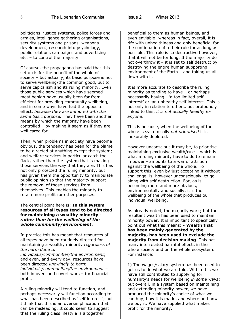politicians, justice systems, police forces and armies, intelligence gathering organisations, security systems and prisons, weapons development, research into psychology, public relations campaigns and advertising etc. – to control the majority.

Of course, the propaganda has said that this set up is for the benefit of the whole of society – but actually, its basic purpose is not to serve wellbeing/the common good, but to serve capitalism and its ruling minority. Even those public services which have seemed most benign have usually been far from efficient for providing community wellbeing, and in some ways have had the opposite effect, *because they are immured with the same basic purpose.* They have been another means by which the majority have been controlled – by making it seem as if they are well cared for.

Then, when problems in society have become obvious, the tendency has been for the blame to be directed at anything except the system; and welfare services in particular catch the flack, rather than the system that is making those services the way that they are. This has not only protected the ruling minority, but has given them the opportunity to manipulate public opinion so that the majority support the removal of those services from themselves. This enables the minority to retain more profit for other purposes.

The central point here is: **In this system, resources of all types tend to be directed for maintaining a wealthy minority**  *rather than for the wellbeing of the whole community/environment***.** 

In practice this has meant that resources of all types have been routinely directed for maintaining a wealthy minority *regardless of the harm done to individuals/communities/the environment*; and even, and every day, resources have been directed *knowingly to harm individuals/communities/the environment* – both in overt and covert wars – for financial profit.

A ruling minority will tend to function, and perhaps necessarily will function according to what has been described as 'self interest'; but I think that this is an oversimplification that can be misleading. It could seem to suggest that the ruling class lifestyle is altogether

beneficial to them as human beings, and even enviable; whereas in fact, overall, it is rife with unhealthiness and only beneficial for the continuation of a their rule for as long as possible. This rule is so destructive however, that it will not be for long. If the majority do not overthrow it – it is set to self destruct by destroying the entire human supporting environment of the Earth – and taking us all down with it.

It is more accurate to describe the ruling minority as tending to have – or perhaps necessarily having - 'a too limited self interest' or 'an unhealthy self interest*'*. This is not only in relation to others, but profoundly linked to this, *it is not actually healthy for anyone*.

This is because, when the wellbeing of the whole is systemically *not prioritised* it is inexorably depleted.

However unconscious it may be, to prioritise maintaining exclusive wealth/rule – which is what a ruling minority have to do to remain in power - amounts to a war of attrition against the wellbeing of the whole. To support this, even by just accepting it without challenge, is, however unconsciously, to go along with self destruction. For, as is becoming more and more obvious, environmentally and socially, it is the wellbeing of the whole that produces our individual wellbeing.

As already noted, the majority work; but the resultant wealth has been used to maintain minority power. It is important to specifically point out what this means: - **Wealth that has been mainly generated by the majority, has been used to exclude the majority from decision making**. This has many interrelated harmful effects in the whole society and on the whole ecosystem. For instance:

1) The wages/salary system has been used to get us to do what we are told. Within this we have still contributed to supplying for humanity's needs for wellbeing *in some ways*; but overall, in a system based on maintaining and extending minority power, we have produced the minority's choice of what we can buy, how it is made, and where and how we buy it. We have supplied what makes profit for the minority.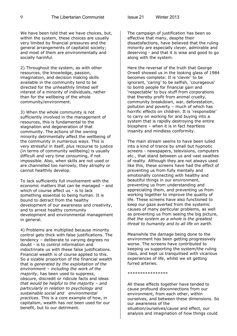We have been told that we have choices, but, within the system, these choices are usually very limited by financial pressures and the general arrangements of capitalist society; and most of them are environmentally and socially harmful.

2) Throughout the system, as with other resources, the knowledge, passion, imagination, and decision making skills available in the community tend to be directed for the unhealthily limited self interest of a minority of individuals, rather than for the wellbeing of the whole community/environment.

3) When the whole community is not sufficiently involved in the management of resources, this is fundamental to the stagnation and degeneration of that community. The actions of the owning minority detrimentally affect the wellbeing of the community in numerous ways. This is very stressful in itself, plus recourse to justice (in terms of community wellbeing) is usually difficult and very time consuming, if not impossible. Also, when skills are not used or are channelled too narrowly, they atrophy or cannot healthily develop.

To lack sufficiently full involvement with the economic matters that can be managed – and which of course affect us - is to lack something essential to being human. It is bound to detract from the healthy development of our awareness and creativity, and to arrest healthy community development and environmental management in general.

4) Problems are multiplied because minority control gets thick with false justifications. The tendency – deliberate to varying degrees no doubt - is to control information and indoctrinate us with these false justifications. Financial wealth is of course applied to this. So a sizable proportion of the financial wealth that is *generated by the exploitation of the environment – including the work of the majority*, has been used to suppress, obscure, discredit or ridicule facts and ideas *that would be helpful to the majority – and particularly in relation to psychology and sustainable social and environmental practices*. This is a core example of how, in capitalism, wealth has *not* been used for our benefit, but to our detriment.

The campaign of justification has been so effective that many, despite their dissatisfactions, have believed that the ruling minority are especially clever, admirable and deserving - and that it is wise and good to go along with the system.

Here the reversal of the truth that George Orwell showed us in the looking glass of 1984 becomes complete: It is 'clever' to be ignorant, 'caring' to be selfish, 'courageous' to bomb people for financial gain and 'respectable' to buy stuff from corporations that thereby profit from animal cruelty, community breakdown, war, deforestation, pollution and poverty – much of which has horrific effects on children. It is 'responsible' to carry on working for and buying into a system that is rapidly destroying the entire biosphere – when it is in fact heartless insanity and mindless conformity.

The main stream seems to have been lulled into a kind of trance by small but hypnotic screens - newspapers, televisions, computers etc., that stand between us and vast swathes of reality. Although they are not always used like this, these screens have had the effect of preventing us from fully mentally and emotionally connecting with healthy and beautiful things in our environment, preventing us from understanding and appreciating them, and preventing us from working together to improve the quality of life. These screens have also functioned to keep our gaze averted from the systemic causes of many particular problems, as well as preventing us from seeing the big picture, *that the system as a whole is the greatest threat to humanity and to all life on earth*.

Meanwhile the damage being done to the environment has been getting progressively worse. The screens have contributed to keeping us supporting the system/the ruling class, and kept us tranquilised with vicarious experiences of life, whilst we sit getting furred arteries.

#### \*\*\*\*\*\*\*\*\*\*\*\*\*\*\*\*

All these effects together have tended to cause profound disconnections from our environment, from each other, within ourselves, and between these dimensions. So our awareness of the situation/ourselves/cause and effect, our analysis and imagination of how things could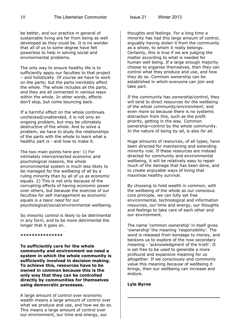be better, and our practice in general of sustainable living are far from being as well developed as they could be. It is no wonder that all of us to some degree have felt powerless to help in solving social and environmental problems.

The only way to ensure healthy life is to sufficiently apply our faculties to that project – and holistically. Of course we have to work on the parts; but the parts inevitably affect the whole. The whole includes all the parts, and they are all connected in various ways within the whole. In other words, effects don't stop, but come bouncing back.

If a harmful effect on the whole continues unchecked/unattended, it is not only an ongoing problem, but may be ultimately destructive of the whole. And to solve a problem, we have to study the relationships of the parts with the whole to learn what a healthy part *is* - and how to make it.

The two main points here are: 1) For intimately interconnected economic and psychological reasons, the whole environmental system is much less likely to be managed for the wellbeing of all by a ruling minority than by all of us as economic equals. 2) This is not only because of the corrupting effects of having economic power over others, but because the exercise of our faculties for self management as economic equals *is a basic need* for our psychological/social/environmental wellbeing.

So minority control is likely to be detrimental in any form, and to be more detrimental the longer that it goes on.

**\*\*\*\*\*\*\*\*\*\*\*\*\*\*\***

**To sufficiently care for the whole community and environment we need a system in which the whole community is sufficiently involved in decision making. To achieve this, resources have to be owned in common because this is the only way that they can be controlled directly by communities for themselves using democratic processes.** 

A large amount of control over economic wealth means a large amount of control over what we produce and use, and how we do so. This means a large amount of control over our environment, our time and energy, our

thoughts and feelings. For a long time a minority has had this large amount of control, arguably having stolen it from the community as a whole, to whom it really belongs. Certainly, this is true if we are judging the matter according to what is needed for human well being. If a large enough majority choose to organise themselves, then they can control what they produce and use, and how they do so. Common ownership can be established in which everyone can join and take part.

If the community has ownership/control, they will tend to direct resources *for the wellbeing of the whole community/environment*; and even more so because there is no systemic distraction from this, such as the profit priority, getting in the way. Common ownership=control by the whole community. In the nature of being *by all*, is also *for all.*

Huge amounts of resources, of all types, have been directed for maintaining and extending minority rule. If these resources are instead directed for community and environmental wellbeing, it will be relatively easy to repair much of the damage that has been done, and to create enjoyable ways of living that maximise healthy survival.

By choosing to hold wealth in common, with the wellbeing of the whole as our conscious core principle, we can fully set free environmental, technological and information resources, our time and energy, our thoughts and feelings to take care of each other and our environment.

The name 'common ownership' in itself gives 'ownership' the meaning 'responsibility'. The word is released from bondage to money, and beckons us to explore of the now secondary meaning - 'acknowledgment of the truth'. It is set free to be used to generate a more profound and expansive meaning for us altogether. If we consciously and commonly value this meaning *because* of wellbeing it brings, then our wellbeing can increase and endure.

#### **Lyla Byrne**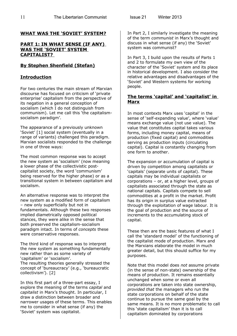#### **WHAT WAS THE 'SOVIET' SYSTEM?**

#### **PART 1: IN WHAT SENSE (IF ANY) WAS THE 'SOVIET' SYSTEM CAPITALIST?**

#### **By Stephen Shenfield (Stefan)**

#### **Introduction**

For two centuries the main stream of Marxian discourse has focused on criticism of 'private enterprise' capitalism from the perspective of its negation in a general conception of socialism (which I do not distinguish from communism). Let me call this 'the capitalismsocialism paradigm'.

The appearance of a previously unknown 'Soviet' [1] social system (eventually in a range of variants) challenged this paradigm. Marxian socialists responded to the challenge in one of three ways:

The most common response was to accept the new system as 'socialism' (now meaning a lower phase of the collectivistic postcapitalist society, the word 'communism' being reserved for the higher phase) or as a transitional system in between capitalism and socialism.

An alternative response was to interpret the new system as a modified form of capitalism – new only superficially but not in fundamentals. Although these two responses implied diametrically opposed political stances, they were alike in the sense that both preserved the capitalism-socialism paradigm intact. In terms of *concepts* these were conservative responses.

The third kind of response was to interpret the new system as something fundamentally new rather than as some variety of 'capitalism' or 'socialism'. The resulting theories generally stressed the concept of 'bureaucracy' (e.g., 'bureaucratic collectivism'). [2]

In this first part of a three-part essay, I explore the meaning of the terms *capital* and *capitalist* in Marx's thought. In particular, I draw a distinction between broader and narrower usages of these terms. This enables me to consider in what sense (if any) the 'Soviet' system was capitalist.

In Part 2, I similarly investigate the meaning of the term *communist* in Marx's thought and discuss in what sense (if any) the 'Soviet' system was communist?

In Part 3, I build upon the results of Parts 1 and 2 to formulate my own view of the character of the 'Soviet' system and its place in historical development. I also consider the relative advantages and disadvantages of the 'Soviet' and Western systems for working people.

#### **The terms 'capital' and 'capitalist' in Marx**

In most contexts Marx uses 'capital' in the sense of 'self-expanding value', where 'value' means exchange value (not use value). The value that constitutes capital takes various forms, including money capital, means of production (fixed capital) and commodities serving as production inputs (circulating capital). Capital is constantly changing from one form to another.

The expansion or accumulation of capital is driven by competition among capitalists or 'capitals' (separate units of capital). These capitals may be individual capitalists or corporations – or, at a higher level, groups of capitalists associated through the state as national capitals. Capitals compete to sell commodities at a profit in the market. Profit has its origin in surplus value extracted through the exploitation of wage labour. It is the goal of production and the source of increments to the accumulating stock of capital.

These then are the basic features of what I call the 'standard model' of the functioning of the capitalist mode of production. Marx and the Marxians elaborate the model in much greater detail, but this should suffice for my purposes.

Note that this model does *not* assume private (in the sense of non-state) ownership of the means of production. It remains essentially unchanged when some or even all corporations are taken into state ownership, *provided that* the managers who run the state corporations on behalf of the state continue to pursue the same goal by the same means. It is no more problematic to call this 'state capitalism' than it is to call capitalism dominated by corporations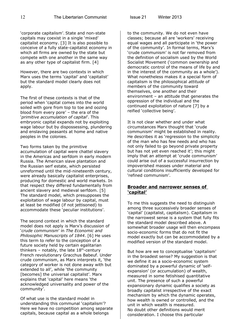'corporate capitalism'. State and non-state capitals may coexist in a single 'mixed' capitalist economy. [3] It is also possible to conceive of a fully state-capitalist economy in which all firms are owned by the state but compete with one another in the same way as any other type of capitalist firm. [4]

However, there are two contexts in which Marx uses the terms 'capital' and 'capitalist' but the standard model clearly does not apply.

The first of these contexts is that of the period when 'capital comes into the world soiled with gore from top to toe and oozing blood from every pore' – the era of the '*primitive accumulation of capital*'. This embryonic capital expands not by exploiting wage labour but by dispossessing, plundering and enslaving peasants at home and native peoples in the colonies.

Two forms taken by the primitive accumulation of capital were chattel slavery in the Americas and serfdom in early modern Russia. The American slave plantation and the Russian serf estate, which persisted unreformed until the mid-nineteenth century, were already basically capitalist enterprises, producing for domestic and world markets. In that respect they differed fundamentally from ancient slavery and medieval serfdom. [5] The standard model, which presupposes the exploitation of wage labour by capital, must at least be modified (if not jettisoned) to accommodate these 'peculiar institutions'.

The second context in which the standard model does not apply is Marx's discussion of '*crude communism*' in *The Economic and Philosophic Manuscripts of 1844*. [6] He uses this term to refer to the conception of a future society held by certain egalitarian thinkers – notably, the late  $18<sup>th</sup>$ -century French revolutionary Gracchus Babeuf. Under crude communism, as Marx interprets it, 'the category of worker is not done away with but extended to all', while 'the community [becomes] the universal capitalist'. Marx explains that 'capital' here means 'the acknowledged universality and power of the community'.

Of what use is the standard model in understanding this communal 'capitalism'? Here we have no competition among separate capitals, because capital as a whole belongs

to the community. We do not even have classes; because all are 'workers' receiving equal wages and all participate in 'the power of the community'. In formal terms, Marx's 'crude communism' is not far removed from the definition of socialism used by the World Socialist Movement ('common ownership and democratic control of the means of life by and in the interest of the community as a whole'). What nonetheless makes it a special form of capitalism is the philosophical *attitude* of members of the community toward themselves, one another and their environment – an attitude that generates the oppression of the individual and the continued exploitation of nature [7] by a reified 'collective being'.

It is not clear whether and under what circumstances Marx thought that 'crude communism' might be established in reality. He describes it as 'regression to the simplicity of the man who has few needs and who has not only failed to go beyond private property but has not yet even reached it'; this might imply that an attempt at 'crude communism' could arise out of a successful insurrection by impoverished masses under material and cultural conditions insufficiently developed for 'refined communism'.

#### **Broader and narrower senses of 'capital'**

To me this suggests the need to distinguish among three successively broader senses of 'capital' (capitalist, capitalism). Capitalism in the narrowest sense is a system that fully fits the standard model described above. A somewhat broader usage will then encompass socio-economic forms that do not fit the model exactly but can be accommodated by a modified version of the standard model.

But how are we to conceptualise 'capitalism' in the broadest sense? My suggestion is that we define it as a socio-economic system dominated by a powerful dynamic of 'selfexpansion' (or accumulation) of wealth, measured in some fetishised quantitative unit. The presence of such a powerful expansionary dynamic qualifies a society as broadly capitalist irrespective of the exact mechanism by which the dynamic operates, how wealth is owned or controlled, and the unit in which wealth is measured. No doubt other definitions would merit consideration. I choose this particular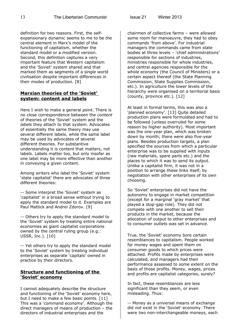definition for two reasons. First, the selfexpansionary dynamic seems to me to be *the* central element in Marx's model of the functioning of capitalism, whether the standard model or a modified version. Second, this definition captures a very important feature that Western capitalism and the 'Soviet' system shared and that marked them as segments of a single world civilisation despite important differences in their modes of production. [8]

#### **Marxian theories of the 'Soviet' system: content and labels**

Here I wish to make a general point. There is no close correspondence between the *content* of theories of the 'Soviet' system and the *labels* they attach to that system. Advocates of essentially the same theory may use several different labels, while the same label may be used by advocates of several different theories. For substantive understanding it is content that matters, not labels. Labels matter too, but only insofar as one label may be more effective than another in conveying a given content.

Among writers who label the 'Soviet' system 'state capitalist' there are advocates of three different theories:

-- Some interpret the 'Soviet' system as 'capitalist' in a broad sense without trying to apply the standard model to it. Examples are Paul Mattick and Andrei Zdorov. [9]

-- Others try to apply the standard model to the 'Soviet' system by treating entire national economies as giant capitalist corporations owned by the central ruling group (e.g.: USSR, Inc.). [10]

-- Yet others try to apply the standard model to the 'Soviet' system by treating individual enterprises as separate 'capitals' owned in practice by their directors.

#### **Structure and functioning of the 'Soviet' economy**

I cannot adequately describe the structure and functioning of the 'Soviet' economy here, but I need to make a few basic points. [11] This was a 'command economy'. Although the direct managers of means of production – the directors of industrial enterprises and the

chairmen of collective farms – were allowed some room for manoeuvre, they had to obey commands 'from above'. For industrial managers the commands came from state bodies at three levels – 'chief administrations' responsible for sections of industries, ministries responsible for whole industries, and central agencies responsible for the whole economy (the Council of Ministers) or a certain aspect thereof (the State Planning Commission, State Supplies Commission, etc.). In agriculture the lower levels of the hierarchy were organised on a territorial basis (county, province etc.). [12]

At least in formal terms, this was also a 'planned economy'. [13] Quite detailed production plans were formulated and had to be followed (unless overruled for some reason by higher authority). Most important was the one-year plan, which was broken down by month; there were also five-year plans. Besides production targets, a plan specified the sources from which a particular enterprise was to be supplied with inputs (raw materials, spare parts etc.) and the places to which it was to send its output. Unlike a capitalist firm, it was not in a position to arrange these links itself, by negotiation with other enterprises of its own choosing.

So 'Soviet' enterprises did not have the autonomy to engage in market competition (except for a marginal 'gray market' that played a stop-gap role). They did not compete with one another to sell their products in the market, because the allocation of output to other enterprises and to consumer outlets was set in advance.

True, the 'Soviet' economy bore certain resemblances to capitalism. People worked for money wages and spent them on consumer goods to which prices were attached. Profits made by enterprises were calculated, and managers had their performance assessed to some extent on the basis of those profits. Money, wages, prices and profits are capitalist categories, surely?

In fact, these resemblances are less significant than they seem, or even misleading. Thus:

-- Money as a universal means of exchange did *not* exist in the 'Soviet' economy. There were *two* non-interchangeable moneys, each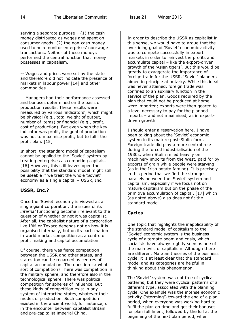serving a separate purpose  $-$  (1) the cash money distributed as wages and spent on consumer goods; (2) the non-cash money used to help monitor enterprises' non-wage transactions. Neither of these moneys performed the central function that money possesses in capitalism.

-- Wages and prices were set by the state and therefore did not indicate the presence of markets in labour power [14] and other commodities.

-- Managers had their performance assessed and bonuses determined on the basis of production results. These results were measured by various 'indicators', which might be physical (e.g., total weight of output, number of items) or financial (e.g., profit, cost of production). But even when the key indicator was profit, the goal of production was not to maximise profit, but to fulfil the profit plan. [15]

In short, the standard model of capitalism cannot be applied to the 'Soviet' system by treating enterprises as competing capitals. [16] However, this still leaves open the possibility that the standard model might still be useable if we treat the whole 'Soviet' economy as a single capital – USSR, Inc.

#### **USSR, Inc.?**

Once the 'Soviet' economy is viewed as a single giant corporation, the issues of its *internal* functioning become irrelevant to the question of whether or not it was capitalist. After all, the capitalist nature of a corporation like IBM or Texaco depends not on how it is organised internally, but on its participation in world market competition as a centre of profit making and capital accumulation.

Of course, there was fierce competition between the USSR and other states, and states too can be regarded as centres of capital accumulation. The question is: what sort of competition? There was competition in the military sphere, and therefore also in the technological sphere. There was political competition for spheres of influence. But these kinds of competition exist in any system of interacting states, whatever their modes of production. Such competition existed in the ancient world, for instance, or in the encounter between capitalist Britain and pre-capitalist imperial China.

In order to describe the USSR as capitalist in this sense, we would have to argue that the overriding goal of 'Soviet' economic activity was to compete successfully in export markets in order to reinvest the profits and accumulate capital – like the export-driven growth of the 'Asian tigers'. But this would be greatly to exaggerate the importance of foreign trade for the USSR. 'Soviet' planners aimed in principle at autarky. While this ideal was never attained, foreign trade was confined to an auxiliary function in the service of the plan. Goods required by the plan that could not be produced at home were imported; exports were then geared to a level necessary to pay for the planned imports – and not maximised, as in exportdriven growth.

I should enter a reservation here. I have been talking about the 'Soviet' economic system in its mature post-Stalin form. Foreign trade did play a more central role during the forced industrialisation of the 1930s, when Stalin relied heavily on machinery imports from the West, paid for by exports of grain while people were starving (as in the Irish potato famine). It is precisely in this period that we find the strongest parallels between the 'Soviet' system and capitalism, especially if we focus not on mature capitalism but on the phase of the primitive accumulation of capital, [17] which (as noted above) also does not fit the standard model.

#### **Cycles**

One topic that highlights the inapplicability of the standard model of capitalism to the 'Soviet' economic system is the business cycle of alternate boom and crisis, which socialists have always rightly seen as one of the main evils of capitalism. Although there are different Marxian theories of the business cycle, it is at least clear that the standard model and its categories are helpful in thinking about this phenomenon.

The 'Soviet' system was not free of cyclical patterns, but they were cyclical patterns of a different type, associated with the planning cycle. One example was the intense economic activity ('storming') toward the end of a plan period, when everyone was working hard to fulfil the plan on time and get their bonuses for plan fulfilment, followed by the lull at the beginning of the next plan period, when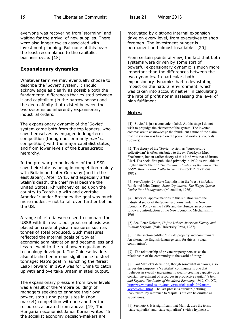everyone was recovering from 'storming' and waiting for the arrival of new supplies. There were also longer cycles associated with investment planning. But none of this bears the least resemblance to the capitalist business cycle. [18]

#### **Expansionary dynamics**

Whatever term we may eventually choose to describe the 'Soviet' system, it should acknowledge as clearly as possible both the fundamental differences that existed between it and capitalism (in the narrow sense) and the deep affinity that existed between the two systems as inherently expansionary industrial orders.

The expansionary dynamic of the 'Soviet' system came both from the top leaders, who saw themselves as engaged in long-term competition (though not primarily *market* competition) with the major capitalist states, and from lower levels of the bureaucratic hierarchy.

In the pre-war period leaders of the USSR saw their state as being in competition mainly with Britain and later Germany (and in the east Japan). After 1945, and especially after Stalin's death, the chief rival became the United States. Khrushchev called upon the country to "catch up with and overtake America"; under Brezhnev the goal was much more modest – not to fall even further behind the US.

A range of criteria were used to compare the USSR with its rivals, but great emphasis was placed on crude physical measures such as tonnes of steel produced. Such measures reflected the internal goals of 'Soviet' economic administration and became less and less relevant to the real power equation as technology developed. The Chinese leaders also attached enormous significance to steel tonnage: Mao's goal in launching the 'Great Leap Forward' in 1959 was for China to catch up with and overtake Britain in steel output.

The expansionary pressure from lower levels was a result of the 'empire building' of managers seeking to enhance their own power, status and perquisites in (nonmarket) competition with one another for resources allocated from above. [19] The Hungarian economist Janos Kornai writes: 'In the socialist economy decision-makers are

motivated by a strong internal expansion drive on every level, from executives to shop foremen. The investment hunger is permanent and almost insatiable'. [20]

From certain points of view, the fact that both systems were driven by some sort of powerful expansionary dynamic is much more important than the differences between the two dynamics. In particular, both expansionary dynamics had a devastating impact on the natural environment, which was taken into account neither in calculating the rate of profit nor in assessing the level of plan fulfilment.

#### **Notes**

[1] 'Soviet' is just a convenient label. At this stage I do not wish to prejudge the character of the system. The inverted commas are to acknowledge the fraudulent nature of the claim that the system was based on the power of workers' councils (Soviets).

 [2] The theory of the 'Soviet' system as 'bureaucratic collectivism' is often attributed to the ex-Trotskyist Max Shachtman, but an earlier theory of this kind was that of Bruno Rizzi. His book, first published privately in 1939, is available in English under the title *The Bureaucratization of the World. The USSR: Bureaucratic Collectivism* (Tavistock Publications, 1985).

 [3] See Chapter 2 ('State Capitalism in the West') in Adam Buick and John Crump, *State Capitalism: The Wages System Under New Management* (Macmillan, 1986).

 [4] Historical approximations to this situation were the industrial sector of the Soviet economy under the New Economic Policy in the 1920s and the Hungarian economy following introduction of the New Economic Mechanism in 1968.

 [5] See: Peter Kolchin, *Unfree Labor: American Slavery and Russian Serfdom* (Yale University Press, 1987).

 [6] In the section entitled 'Private property and communism'. An alternative English-language term for this is 'vulgar communism'.

 [7] 'The relationship of private property persists as the relationship of the community to the world of things.'

 [8] Paul Mattick's definition, though somewhat narrower, also serves this purpose: a 'capitalist' community is one that 'believes in steadily increasing its wealth-creating capacity by a constant investment of resources in productive capital' (*Marx and Keynes: The Limits of the Mixed Economy*, 1969, Ch. XX; [http://www.marxists.org/archive/mattick-paul/1969/marx](http://www.marxists.org/archive/mattick-paul/1969/marx-keynes/ch20.htm)[keynes/ch20.htm\)](http://www.marxists.org/archive/mattick-paul/1969/marx-keynes/ch20.htm). The last phrase is circular (defining 'capitalism' by reference to 'capital') but can be omitted as superfluous.

 [9] See note 8. It is significant that Mattick uses the terms 'state-capitalist' and 'state-capitalism' (with a hyphen) to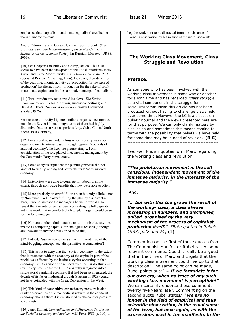emphasise that 'capitalism' and 'state-capitalism' are distinct though kindred systems.

Andrei Zdorov lives in Odessa, Ukraine. See his book: *State Capitalism and the Modernisation of the Soviet Union: A Marxist Analysis of Soviet Society* (in Russian; Moscow: URSS, 2006).

 [10] See Chapter 4 in Buick and Crump, *op. cit*. This also seems to have been the viewpoint of the Polish dissidents Jacek Kuron and Karol Modzelewski in *An Open Letter to the Party* (Socialist Review Publishing, 1966). However, their definition of the goal of economic activity as 'production for the sake of production' (as distinct from 'production for the sake of profit' in non-state capitalism) implies a broader concept of capitalism.

 [11] Two introductory texts are: Alec Nove, *The Soviet Economic System* (Allen & Unwin, successive editions) and David A. Dyker, *The Soviet Economy* (Crosby Lockwood Staples, 1976).

For the sake of brevity I ignore similarly organised economies outside the Soviet Union, though some of them had highly distinctive features at various periods (e.g., Cuba, China, North Korea, East Germany).

[12] For several years under Khrushchev industry was also organised on a territorial basis, through regional 'councils of national economy'. To keep the picture simple, I omit consideration of the role played in economic management by the Communist Party bureaucracy.

 [13] Some analysts argue that the planning process did not amount to 'real' planning and prefer the term 'administered economy'.

[14] Enterprises were able to compete for labour to some extent, through non-wage benefits that they were able to offer.

 [15] More precisely, to overfulfill the plan but only a little – not by 'too much'. While overfulfilling the plan by a substantial margin would increase the manager's bonus, it would also reveal that the enterprise had been concealing its full capacity, with the result that uncomfortably high plan targets would be set for the following year.

[16] Nor could other administrative units – ministries, say – be treated as competing capitals, for analogous reasons (although I am unaware of anyone having tried to do this).

[17] Indeed, Russian economists at the time made use of the mind-boggling concept 'socialist primitive accumulation'!

[18] This is not to deny that the 'Soviet' economy, to the extent that it interacted with the economy of the capitalist part of the world, was affected by the business cycles occurring in that economy. But it cannot be concluded from this, as do Buick and Crump (pp. 95-6), that the USSR was fully integrated into a single world capitalist economy. If it had been so integrated, the decade of its fastest industrial growth (starting in 1929) could not have coincided with the Great Depression in the West.

 [19] This kind of competitive expansionary pressure is also easily observed inside bureaucratic structures in the capitalist economy, though there it is constrained by the counter-pressure to cut costs.

 [20] Janos Kornai, *Contradictions and Dilemmas: Studies on the Socialist Economy and Society*, MIT Press 1986, p. 107). I beg the reader not to be distracted from the substance of Kornai's observation by his misuse of the word 'socialist'.

#### **The Working Class Movement, Class Struggle and Revolution**

#### **Preface.**

As someone who has been involved with the working class movement in some way or another for a long time and has regarded *"class struggle"* as a vital component in the struggle for socialism/communism this article has not been produced without having to challenge views held over some time. However the LC is a discussion bulletin/journal and the views presented here are for that purpose. We can only clarify matters by discussion and sometimes this means coming to terms with the possibility that beliefs we have held for some time may be in need of revision. (**R C)** --------------------------------------------------------

Two well known quotes form Marx regarding the working class and revolution.

#### *"The proletarian movement is the self conscious, independent movement of the immense majority, in the interests of the immense majority."*

And.

*"… but with this too grows the revolt of the working- class, a class always increasing in numbers, and disciplined, united, organised by the very mechanism of the process of capitalist production itself." [Both quoted in Rubel: 1987, p.22 and 24]* **(1)**

Commenting on the first of these quotes from The Communist Manifesto; Rubel raised some relevant comments. Could it really be argued that in the time of Marx and Engels that the working class movement could live up to that description? The same point can be made, Rubel points out*: "… if we formulate it for our own era, when no trace of any such working class movement is perceptible!"* We can certainly endorse those comments twenty five years later. Commenting on the second quote Rubel states*: " we are no longer in the field of empirical and thus scientific observation, in the usual sense of the term, but once again, as with the expressions used in the manifesto, in the*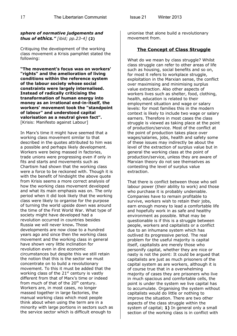#### *sphere of normative judgements and thus of ethics." [ibid; pp.23-4]* **(2)**

Critiquing the development of the working class movement a Krisis pamphlet stated the following:

**"The movement's focus was on workers' "rights" and the amelioration of living conditions within the reference system of the labour society whose social constraints were largely internalised. Instead of radically criticising the transformation of human energy into money as an irrational end-in-itself, the workers' movement took the "standpoint of labour" and understood capital valorisation as a neutral given fact".** [Krisis: Manifesto against Labour]

In Marx's time it might have seemed that a working class movement similar to that described in the quotes attributed to him was a possible and perhaps likely development. Workers were being massed in factories, trade unions were progressing even if only in fits and starts and movements such as Chartism had shown that the working class were a force to be reckoned with. Though it is with the benefit of hindsight the above quote from Krisis seems a more correct analysis of how the working class movement developed and what its main emphasis was on. The only period when it did look likely that the working class were likely to organise for the purpose of turning the world upside down was around the time of the First World War. What type of society might have developed had a revolution occurred in countries besides Russia we will never know**.** Those developments are now close to a hundred years ago and since then the working class movement and the working class in general have shown very little inclination for revolution even in dire economic circumstances but despite this we still retain the notion that this is the sector we must concentrate on to build a revolutionary movement. To this it must be added that the working class of the  $21<sup>st</sup>$  century is vastly different from that of Marx's time or indeed from much of that of the  $20<sup>th</sup>$  century. Workers are, in most cases, no longer massed together in large factories, the manual working class which most people think about when using the term are in a minority with large portions in sectors such as the service sector which is difficult enough to

unionise that alone build a revolutionary movement from.

#### **The Concept of Class Struggle**

What do we mean by class struggle? Whilst class struggle can refer to other areas of life such as housing, social benefits and so on, for most it refers to workplace struggle, exploitation in the Marxian sense, the conflict over maximising and minimising surplus value extraction. Also other aspects of workers lives such as shelter, food, clothing, health, education is related to their employment situation and wage or salary levels: for most families this in the modern context is likely to include two wage or salary earners. Therefore in most cases the class struggle is viewed as taking place at the point of production/service. Most of the conflict at the point of production takes place over wages/salaries, jobs, health and safety some of these issues may indirectly be about the level of the extraction of surplus value but in general the working class at the point of production/service, unless they are aware of Marxian theory do not see themselves as contesting the level of surplus value extraction.

That there is conflict between those who sell labour power (their ability to work) and those who purchase it is probably undeniable. Companies have to remain profitable to survive, workers wish to retain their jobs, earn enough money to lead a comfortable life and hopefully work in as safe and healthy environment as possible. What may be questionable is if this is a struggle between people, workers and capitalists or a conflict due to an inhumane system which has outlived its progressive period. The real problem for the useful majority is capital itself, capitalists are merely those who personify capital, whether they are nice or nasty is not the point: It could be argued that capitalists are just as much prisoners of the capital system as are workers, although it is of course true that in a overwhelming majority of cases they are prisoners who live in much spacious and comfortable cells, the point is under the system we live capital has to accumulate. Organising the system without capitalists would do little or nothing to improve the situation. There are two other aspects of the class struggle within the system of capital; **1)** In general only a small section of the working class is in conflict with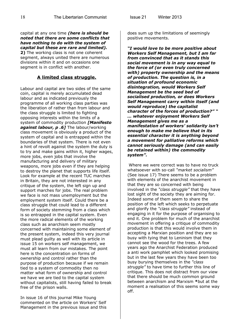capital at any one time *(here is should be noted that there are some conflicts that have nothing to do with the system of capital but these are rare and limited).* **2)** The working class is not one coherent segment, always united there are numerous divisions within it and on occasions one segment is in conflict with another.

#### **A limited class struggle.**

Labour and capital are two sides of the same coin, capital is merely accumulated dead labour and as indicated previously the programme of all working class parties was the liberation of rather than from labour and the class struggle is limited to fighting opposing interests within the limits of a system of commodity production *[Manifesto against labour, p .6]* The labour/working class movement is obviously a product of the system of capital and is entrapped within the boundaries of that system. There is not even a hint of revolt against the system the duty is to try and make gains within it, higher wages, more jobs, even jobs that involve the manufacturing and delivery of military weapons, more jobs even if they are helping to destroy the planet that supports life itself. Look for example at the recent TUC marches in Britain, they are not interested in any critique of the system, the left sign up and support marches for jobs. The real problem we face is not mass unemployment but the employment system itself. Could there be a class struggle that could lead to a different form of society stemming from a class which is so entrapped in the capital system. Even the more radical elements of the working class such as anarchism seem mostly concerned with maintaining some element of the present system, indeed this very journal must plead guilty as well with its article in issue 15 on workers self management, we must all learn from our mistakes. The point here is the concentration on forms of ownership and control rather than the purpose of production because if we remain tied to a system of commodity then no matter what form of ownership and control we have we are tied to the capital system without capitalists, still having failed to break free of the prison walls.

In issue 16 of this journal Mike Young commented on the article on Workers' Self Management in the previous issue and this does sum up the limitations of seemingly positive movements.

*"I would love to be more positive about Workers Self Management, but I am far from convinced that as it stands this social movement is in any way equal to the force of (or even truly concerned with) property ownership and the means of production. The question is, in a situation of profound economic disintegration, would Workers Self Management be the seed bed of socialised production, or does Workers Self Management carry within itself (and would reproduce) the capitalist character of the forces of production?" " … whatever enjoyment Workers Self Management gives me as a manifestation of workers' solidarity isn't enough to make me believe that in its essential character it is anything beyond a movement for palliative reforms which cannot seriously damage (and can easily be retained within) the commodity system".*

Where we were correct was to have no truck whatsoever with so-call *"market socialism"* (See issue 17) There seems to be a problem with elements of the anarchist movement in that they are so concerned with being involved in the *"class struggle"* that they have lost sight of the society they are aiming for. Indeed some of them seem to share the position of the left which seeks to perpetuate and glorify the *"class struggle"* instead of engaging in it for the purpose of organising to end it. One problem for much of the anarchist movement in offering a critique of commodity production is that this would involve them in accepting a Marxian position and they are so busy with tying that to Leninism that they cannot see the wood for the trees. A few years ago the Anarchist Federation produced a anti work pamphlet which looked promising but in the last few years they have been too busy burying themselves in the *"class struggle"* to have time to further this line of critique. This does not distract from our view that there should be much common ground between anarchism and Marxism **\***but at the moment a realisation of this seems some way off.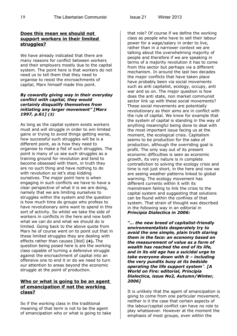#### **Does this mean we should not support workers in their limited struggles?**

We have already indicated that there are many reasons for conflict between workers and their employers mostly due to the capital system. The point here is that workers do not need us to tell them that they need to organise to resist the encroachments of capital, Marx himself made this point.

#### *By cowardly giving way in their everyday conflict with capital, they would certainly disqualify themselves from initiating any larger movement" [Marx 1997, p.61] (3)*

As long as the capital system exists workers must and will struggle in order to win limited gains or trying to avoid things getting worse, how successful such struggles will be is a different point, as is how they need to organise to make a fist of such struggles. The point is many of us see such struggles as a training ground for revolution and tend to become obsessed with them, in truth they are no such thing and have nothing to do with revolution so let's stop kidding ourselves. The major point here is when engaging in such conflicts we have to have a clear perspective of what it is we are doing, namely that we are limiting ourselves to struggles within the system and the question is how much time do groups who profess to have revolutionary aims want to spend in this sort of activity. So whilst we take the side of workers in conflicts in the here and now both what we can do and what we should do is limited. Going back to the above quote from Marx he of course went on to point out that in these limited struggles they are dealing with effects rather than causes [ibid] **(4).** The question being posed here is are the working class capable of turning a defensive struggle against the encroachment of capital into an offensive one to end it or do we need to turn our attention to areas beyond the economic struggle at the point of production.

#### **Who or what is going to be an agent of emancipation if not the working class?**

So if the working class in the traditional meaning of that term is not to be the agent of emancipation who or what is going to take that role? Of course if we define the working class as people who have to sell their labour power for a wage/salary in order to live, rather than in a narrower context we are talking about the overwhelming majority of people and therefore if we are speaking in terms of a majority revolution it has to come from this sector but perhaps via a different mechanism. In around the last two decades the major conflicts that have taken place have probably been via social movements such as anti capitalist, ecology, occupy, anti war and so on. The major question is how does the anti state, non market communist sector link up with these social movements? These social movements are potentially revolutionary as their aims are in conflict with the rule of capital. We know for example that the system of capital is standing in the way of anything meaningful being done to deal with the most important issue facing us at the moment, the ecological crisis. Capitalism seems to be production for the sake of production, although the overriding goal is profit. The only way out of its present economic difficulties is seen as economic growth, its very nature is in complete contradiction to solving the ecology crisis and time is not just short, in the here and now we are seeing weather patterns linked to global warming. The ecology movement has different currents within it with its mainstream failing to link the crisis to the capital system and suggesting that solutions can be found within the confines of that system. That strain of thought was described in the following way in an editorial in *Principia Dialectica in 2006:*

*"… the new breed of capitalist-friendly environmentalists desperately try to avoid the one simple, plain truth staring them in the face: an economy based on the measurement of value as a form of wealth has reached the end of its life, and in its old age has a suicidal urge to take everyone down with it – including the very pundits busy at its bedside operating the life support system". [A World on Fire: editorial, Principia Dialectica, issue No2, Autumn/Winter, 2006]*

It is unlikely that the agent of emancipation is going to come from one particular movement, neither is it the case that certain aspects of the labour/capital conflict can have no role to play whatsoever. However at the moment the emphasis of most groups, even within the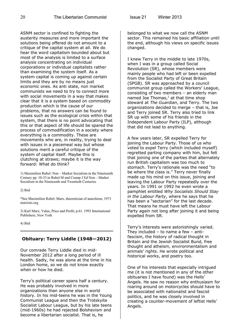ASNM sector is confined to fighting the austerity measures and more important the solutions being offered do not amount to a critique of the capital system at all. We do hear the word capitalism bounded about but most of the analysis is limited to a surface analysis concentrating on individual corporations or individual capitalists rather than examining the system itself. As a system capital is coming up against certain limits and they are by no means just economic ones. As anti state, non market communists we need to try to connect more with social movements in a way that makes clear that it is a system based on commodity production which is the cause of our problems, that no answers can be found to issues such as the ecological crisis within that system, that there is no point advocating that this or that aspect of life should be spared the process of commodification in a society where everything is a commodity. These are movements who are, in reality, trying to deal with issues in a piecemeal way but whose solutions merit a careful critique of the system of capital itself. Maybe this is clutching at straws; maybe it is the way forward: What do think?

1) Maximilien Rubel: Non – Market Socialism in the Nineteenth Century pp. 10-33 in Rubel M and Crump J Ed Non – Market Socialism in the Nineteenth and Twentieth Centuries

2) Ibid

\*See Maximilien Rubel: Marx, theoretician of anarchism, 1973 marxists.org

3) Karl Marx; Value, Price and Profit; p.61. 1993 International Publishers, New York

4) Ibid

#### **Obituary: Terry Liddle (1948—2012)**

Our comrade Terry Liddle died in mid-November 2012 after a long period of ill health. Sadly, he was alone at the time in his London home, so we do not know exactly when or how he died.

Terry's political career spans half a century. He was probably involved in more organizations than anyone else in world history. In his mid-teens he was in the Young Communist League and then the Trotskyite Socialist Labour League, but by his late teens (mid-1960s) he had rejected Bolshevism and become a libertarian socialist. That is, he

belonged to what we now call the ASNM sector. This remained his basic affiliation until the end, although his views on specific issues changed.

I knew Terry in the middle to late 1970s, when I was in a group called Social Revolution (SR), whose members were mainly people who had left or been expelled from the Socialist Party of Great Britain (SPGB). SR was approached by a council communist group called the Workers' League, consisting of two members – an elderly man named Joe Thomas, $<sup>1</sup>$  at that time shop</sup> steward at *The Guardian*, and Terry. The two organizations decided to merge – that is, Joe and Terry joined SR. Terry also tried to link SR up with some of his friends in the Independent Labour Party (ILP), although that did not lead to anything.

A few years later, SR expelled Terry for joining the Labour Party. Those of us who voted to expel Terry (which included myself) regretted parting company with him, but felt that joining one of the parties that alternately run British capitalism was too much to stomach. Terry's rationale was the need "to be where the class is." Terry never finally made up his mind on this issue, joining and leaving the Labour Party repeatedly over the years. In 1991 or 1992 he even wrote a pamphlet entitled *Why Socialists Should Stay in the Labour Party*, where he says that he has been a "sectarian" for the last decade. That means he must have left the Labour Party again not long after joining it and being expelled from SR.

Terry's interests were astonishingly varied. They included  $-$  to name a few  $-$  antifascism, the history of radical thought in Britain and the Jewish Socialist Bund, free thought and atheism, environmentalism and animals' rights. He wrote political and historical works, and poetry too.

One of his interests that especially intrigued me (it is not mentioned in any of the other obituaries I have found) was the Hells' Angels. He saw no reason why enthusiasm for roaring around on motorcycles should have to be associated with nationalist and fascist politics, and he was closely involved in creating a counter-movement of leftist Hells' Angels.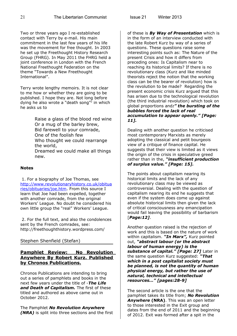Two or three years ago I re-established contact with Terry by e-mail. His main commitment in the last few years of his life was the movement for free thought. In 2003 he set up the Freethought History Research Group (FHRG). In May 2011 the FHRG held a joint conference in London with the French National Freethought Federation on the theme "Towards a New Freethought International".

Terry wrote lengthy memoirs. It is not clear to me how or whether they are going to be published. I hope they are. Not long before dying he also wrote a "death song"<sup>2</sup> in which he asks us to

> Raise a glass of the blood red wine Or a mug of the barley brew, Bid farewell to your comrade, One of the foolish few Who thought we could rearrange the world, Dreamed we could make all things

new.

#### **Notes**

1. For a biography of Joe Thomas, see [http://www.revolutionaryhistory.co.uk/obitua](http://www.revolutionaryhistory.co.uk/obituaries/obituaries/joe.htm) [ries/obituaries/joe.htm.](http://www.revolutionaryhistory.co.uk/obituaries/obituaries/joe.htm) From this source I learn that Joe had been expelled, together with another comrade, from the original Workers' League. No doubt he considered his own little group the "real" Workers' League.

 2. For the full text, and also the condolences sent by the French comrades, see: http://freethoughthistory.wordpress.com/

#### Stephen Shenfield (Stefan)

#### **Pamphlet Review: No Revolution Anywhere By Robert Kurz. Published by Chronos Publications.**

Chronos Publications are intending to bring out a series of pamphlets and books in the next few years under the title of -*The Life and Death of Capitalism.* The first of these titled and authored as above came out in October 2012.

The Pamphlet *No Revolution Anywhere (NRA)* is split into three sections and the first

of these is *By Way of Presentation* which is in the form of an interview conducted with the late Robert Kurz by way of a series of questions. These questions raise some interesting points such as: The Nature of the present Crisis and how it differs from preceding ones: Is Capitalism near to reaching its historical limits? If there is no revolutionary class (Kurz and like minded theorists reject the notion that the working class can be the bearer of revolution) how is the revolution to be made? Regarding the present economic crisis Kurz argued that this has arisen due to the technological revolution (the third industrial revolution) which took on global proportions and*:" the bursting of the bubbles forced the lack of real accumulation to appear openly." [Page: 11].* 

Dealing with another question he criticised most contemporary Marxists as merely adopting the classical and petit bourgeois view of a critique of finance capital. He suggests that their view is limited as it views the origin of the crisis in speculative greed rather than in the, *"insufficient production of surplus value." [Page: 15].*

The points about capitalism nearing its historical limits and the lack of any revolutionary class may be viewed as controversial. Dealing with the question of capitalism nearing its end he suggests that even if the system does come up against absolute historical limits then given the lack of critical consciousness any emancipation would fail leaving the possibility of barbarism [*Page:12]*.

Another question raised is the rejection of work and this is based on the nature of work within capitalism. *"In Marx",* Kurz pointed out, *"abstract labour (or the abstract labour of human energy) is the substance of capital." [Page: 27]* Later in the same question Kurz suggested: *"That which in a post capitalist society must be planned, is not the quantity of human physical energy, but rather the use of natural, technical and intellectual resources…" [pages:28-9]*

The second article is the one that the pamphlet takes its title from; *No Revolution Anywhere* **(NRA)**. This was an open letter to those interested in the Exit group and dates from the end of 2011 and the beginning of 2012. Exit was formed after a spit in the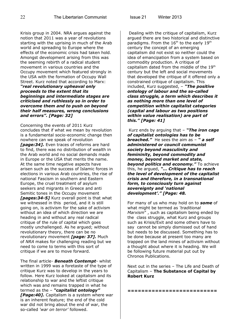Krisis group in 2004. NRA argues against the notion that 2011 was a year of revolutions starting with the uprising in much of the Arab world and spreading to Europe where the effects of the economic crisis had taken hold. Amongst development arising from this was the seeming rebirth of a radical student movement in various countries and the Occupy movement which featured strongly in the USA with the formation of Occupy Wall Street. Kurz noted that according to Marx: *"real revolutionary upheaval only proceeds to the extent that its beginnings and intermediate stages are criticised and ruthlessly so in order to overcome them and to push on beyond their half measures, wrong conclusions and errors". [Page: 32]*

Concerning the events of 2011 Kurz concludes that if what we mean by revolution is a fundamental socio-economic change then nowhere can we speak of revolution *[page:34].* Even traces of reforms are hard to find, there was no distribution of wealth in the Arab world and no social demands made in Europe or the USA that merits the name. At the same time negative aspects have arisen such as the success of Islamic forces in elections in various Arab countries, the rise of national Fascism in southern and Eastern Europe, the cruel treatment of asylum seekers and migrants in Greece and anti Semitic tones in the Occupy movement *[pages:34-5]* Kurz overall point is that what we witnessed in this period, and it is still going on, is activism for the sake of activism without an idea of which direction we are heading in and without any real radical critique of the rule of capital which goes mostly unchallenged. As he argued; without revolutionary theory, there can be no revolutionary movement *[page: 37].* Much of *NRA* makes for challenging reading but we need to come to terms with this sort of critique if we are to move forward.

The final article- *Beneath Contempt-* whilst written in 1999 was a foretaste of the type of critique Kurz was to develop in the years to follow. Here Kurz looked at capitalism and its relationship to war and the leftist critique which was and remains trapped in what he termed as the – *"capitalist ontology" [Page:40].* Capitalism is a system where war is an inherent feature; the end of the cold war did not bring about the end of war, the so-called *'war on terror'* followed.

 Dealing with the critique of capitalism, Kurz argued there are two historical and distinctive paradigms. From the  $16<sup>th</sup>$  to the early  $19<sup>th</sup>$ century the concept of an emerging capitalism did not exist so neither could the idea of emancipation from a system based on commodity production. A critique of capitalism dated from the middle of the 19<sup>th</sup> century but the left and social movements that developed the critique of it offered only a constrained critique of capitalism. This included, Kurz suggested, – *"The positive ontology of labour and the so-called class struggle, a term which describes it as nothing more than one level of competition within capitalist categories (capital and labour as two positions within value realisation) are part of this." [Page: 41]*

Kurz ends by arguing that – *"The iron cage of capitalist ontologies has to be breached."* He sees the aim as – *" a self administered or council communist society beyond masculinity and femininity, beyond commodity and money, beyond market and state, beyond politics and economy."* To achieve this, he argued, *"… Critique has to reach the level of development of the capitalist crisis and therefore, in a transnational form, to consciously turn against sovereignty and 'national development'." [Page: 48.*

For many of us who may hold on to *some* of what might be termed as *'traditional Marxism*" , such as capitalism being ended by the class struggle, what Kurz and groups such as Krisis/Exit and some others have to say cannot be simply dismissed out of hand but needs to be discussed. Something has to be done because at present too many are trapped on the land mines of activism without a thought about where it is heading. We will be following future material put out by Chronos Publications.

Next out in the series – The Life and Death of Capitalism – **The Substance of Capital by Robert Kurz**

**==========================**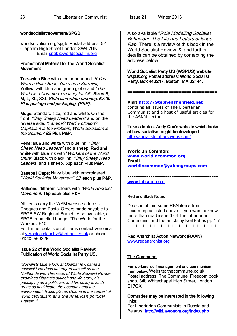#### worldsocialistmovement/SPGB:

worldsocialism.org/spgb: Postal address: 52 Clapham High Street London SW4 7UN. Email [spgb@worldsocialim.org](mailto:spgb@worldsocialim.org)

#### Promotional Material for the World Socialist Movement

Tee-shirts Blue with a polar bear and "If You Were a Polar Bear, You'd be a Socialist, Yellow, with blue and green globe and "The World is a Common Treasury for All". Sizes S, M, L, XL, XXL State size when ordering. £7.00 Plus postage and packaging. (P&P).

Mugs: Standard size, red and white. On the front, "Only Sheep Need Leaders" and on the reverse side, "Famine? War? Pollution? Capitalism is the Problem, World Socialism is the Solution" £5 Plus P&P.

Pens: blue and white with blue ink; "Only Sheep Need Leaders" and a sheep. Red and white with blue ink with "Workers of the World" Unite" Black with black ink, "Only Sheep Need Leaders" and a sheep. 50p each Plus P&P.

Baseball Caps: Navy blue with embroidered "World Socialist Movement". £7 each plus P&P.

**Balloons:** different colours with "World Socialist" Movement. 15p each plus P&P.

All items carry the WSM website address. Cheques and Postal Orders made payable to SPGB SW Regional Branch. Also available, a SPGB enamelled badge, "The World for the Workers. £10.

For further details on all items contact Veronica at [veronica.clanchy@hotmail.co.uk](mailto:veronica.clanchy@hotmail.co.uk) or phone 01202 569826

#### Issue 22 of the World Socialist Review: Publication of World Socialist Party US.

"Socialists take a look at Obama" Is Obama a socialist? He does not regard himself as one. Neither do we. This issue of World Socialist Review examines Obama's outlook and life story, his packaging as a politician, and his policy in such areas as healthcare, the economy and the environment. It also places Obama in the context of world *capitalism and the American political system."*

Also available "Role Modelling Socialist Behaviour: The Life and Letters of Isaac Rab. There is a review of this book in the World Socialist Review 22 and further details can be obtained by contacting the address below.

World Socialist Party US (WSPUS) website wspus.org Postal address: World Socialist Party, Box 440247, Boston, MA 02144.

===================================

 **Visit [http://Stephenshenfield.net](http://stephenshenfield.net/)** contains all issues of The Libertarian Communist and a host of useful articles for the ASNM sector.

Take a look at Andy Cox's website which looks at how socialism might be developed: [http://socialistmatters.webs.com/.](http://socialistmatters.webs.com/)

#### **World In Common:**

**[www.worldincommon.org](http://www.worldincommon.org/) Email [worldincommon@yahoogroups.com](mailto:worldincommon@yahoogroups.com)**

### **-------------------------------------------**

www.Libcom.org -----------------------------------------

#### Red and Black Notes

You can obtain some RBN items from libcom.org as listed above. If you want to know more than read issue 6 Of The Libertarian Communist and the article by Neil Fettes pp.4-7 +++++++++++++++++++++++++

#### Red Anarchist Action Network (RAAN)

[www.redanarchist.org](http://www.redanarchist.org/) =========================

#### The Commune

For workers' self management and communism from below. Website: thecommune.co.uk Postal address: The Commune, Freedom book shop, 84b Whitechapel High Street, London  $F17OX$ 

#### Comrades may be interested in the following links:

For Libertarian Communists in Russia and Belarus: http://wiki.avtonom.org/index.php